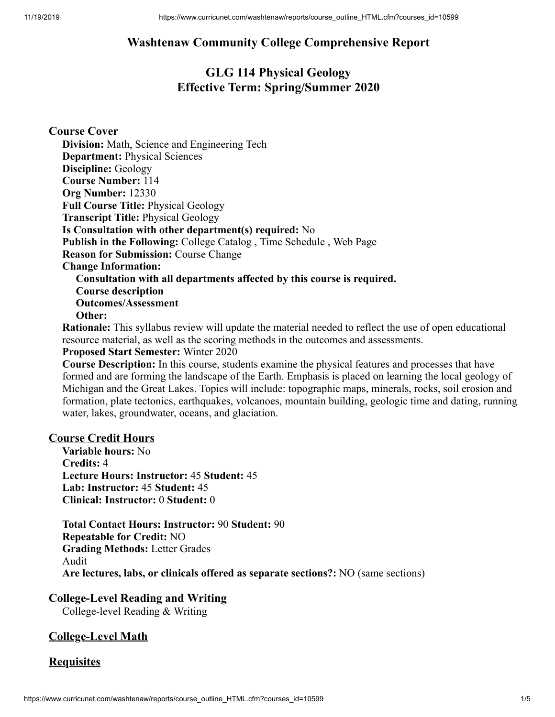## **Washtenaw Community College Comprehensive Report**

## **GLG 114 Physical Geology Effective Term: Spring/Summer 2020**

#### **Course Cover**

**Division:** Math, Science and Engineering Tech **Department:** Physical Sciences **Discipline:** Geology **Course Number:** 114 **Org Number:** 12330 **Full Course Title:** Physical Geology **Transcript Title:** Physical Geology **Is Consultation with other department(s) required:** No **Publish in the Following:** College Catalog , Time Schedule , Web Page **Reason for Submission:** Course Change **Change Information: Consultation with all departments affected by this course is required. Course description Outcomes/Assessment Other:**

**Rationale:** This syllabus review will update the material needed to reflect the use of open educational resource material, as well as the scoring methods in the outcomes and assessments.

#### **Proposed Start Semester:** Winter 2020

**Course Description:** In this course, students examine the physical features and processes that have formed and are forming the landscape of the Earth. Emphasis is placed on learning the local geology of Michigan and the Great Lakes. Topics will include: topographic maps, minerals, rocks, soil erosion and formation, plate tectonics, earthquakes, volcanoes, mountain building, geologic time and dating, running water, lakes, groundwater, oceans, and glaciation.

#### **Course Credit Hours**

**Variable hours:** No **Credits:** 4 **Lecture Hours: Instructor:** 45 **Student:** 45 **Lab: Instructor:** 45 **Student:** 45 **Clinical: Instructor:** 0 **Student:** 0

**Total Contact Hours: Instructor:** 90 **Student:** 90 **Repeatable for Credit:** NO **Grading Methods:** Letter Grades Audit **Are lectures, labs, or clinicals offered as separate sections?:** NO (same sections)

#### **College-Level Reading and Writing**

College-level Reading & Writing

### **College-Level Math**

#### **Requisites**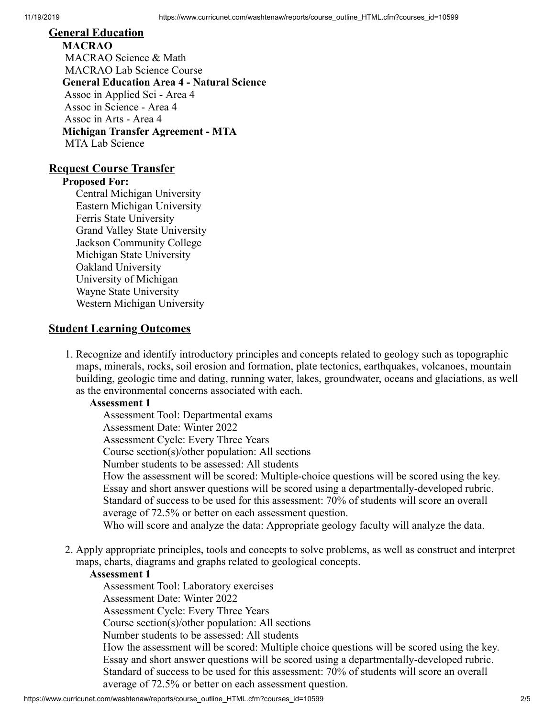### **General Education**

**MACRAO** MACRAO Science & Math MACRAO Lab Science Course **General Education Area 4 - Natural Science** Assoc in Applied Sci - Area 4 Assoc in Science - Area 4 Assoc in Arts - Area 4 **Michigan Transfer Agreement - MTA** MTA Lab Science

#### **Request Course Transfer**

#### **Proposed For:**

Central Michigan University Eastern Michigan University Ferris State University Grand Valley State University Jackson Community College Michigan State University Oakland University University of Michigan Wayne State University Western Michigan University

#### **Student Learning Outcomes**

1. Recognize and identify introductory principles and concepts related to geology such as topographic maps, minerals, rocks, soil erosion and formation, plate tectonics, earthquakes, volcanoes, mountain building, geologic time and dating, running water, lakes, groundwater, oceans and glaciations, as well as the environmental concerns associated with each.

#### **Assessment 1**

Assessment Tool: Departmental exams Assessment Date: Winter 2022 Assessment Cycle: Every Three Years Course section(s)/other population: All sections Number students to be assessed: All students How the assessment will be scored: Multiple-choice questions will be scored using the key. Essay and short answer questions will be scored using a departmentally-developed rubric. Standard of success to be used for this assessment: 70% of students will score an overall average of 72.5% or better on each assessment question. Who will score and analyze the data: Appropriate geology faculty will analyze the data.

2. Apply appropriate principles, tools and concepts to solve problems, as well as construct and interpret maps, charts, diagrams and graphs related to geological concepts.

#### **Assessment 1**

Assessment Tool: Laboratory exercises Assessment Date: Winter 2022 Assessment Cycle: Every Three Years Course section(s)/other population: All sections Number students to be assessed: All students How the assessment will be scored: Multiple choice questions will be scored using the key. Essay and short answer questions will be scored using a departmentally-developed rubric. Standard of success to be used for this assessment: 70% of students will score an overall average of 72.5% or better on each assessment question.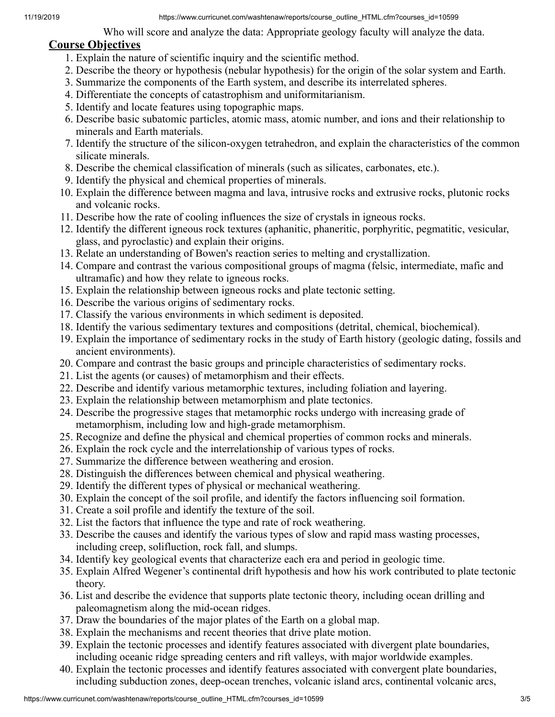Who will score and analyze the data: Appropriate geology faculty will analyze the data.

### **Course Objectives**

- 1. Explain the nature of scientific inquiry and the scientific method.
- 2. Describe the theory or hypothesis (nebular hypothesis) for the origin of the solar system and Earth.
- 3. Summarize the components of the Earth system, and describe its interrelated spheres.
- 4. Differentiate the concepts of catastrophism and uniformitarianism.
- 5. Identify and locate features using topographic maps.
- 6. Describe basic subatomic particles, atomic mass, atomic number, and ions and their relationship to minerals and Earth materials.
- 7. Identify the structure of the silicon-oxygen tetrahedron, and explain the characteristics of the common silicate minerals.
- 8. Describe the chemical classification of minerals (such as silicates, carbonates, etc.).
- 9. Identify the physical and chemical properties of minerals.
- 10. Explain the difference between magma and lava, intrusive rocks and extrusive rocks, plutonic rocks and volcanic rocks.
- 11. Describe how the rate of cooling influences the size of crystals in igneous rocks.
- 12. Identify the different igneous rock textures (aphanitic, phaneritic, porphyritic, pegmatitic, vesicular, glass, and pyroclastic) and explain their origins.
- 13. Relate an understanding of Bowen's reaction series to melting and crystallization.
- 14. Compare and contrast the various compositional groups of magma (felsic, intermediate, mafic and ultramafic) and how they relate to igneous rocks.
- 15. Explain the relationship between igneous rocks and plate tectonic setting.
- 16. Describe the various origins of sedimentary rocks.
- 17. Classify the various environments in which sediment is deposited.
- 18. Identify the various sedimentary textures and compositions (detrital, chemical, biochemical).
- 19. Explain the importance of sedimentary rocks in the study of Earth history (geologic dating, fossils and ancient environments).
- 20. Compare and contrast the basic groups and principle characteristics of sedimentary rocks.
- 21. List the agents (or causes) of metamorphism and their effects.
- 22. Describe and identify various metamorphic textures, including foliation and layering.
- 23. Explain the relationship between metamorphism and plate tectonics.
- 24. Describe the progressive stages that metamorphic rocks undergo with increasing grade of metamorphism, including low and high-grade metamorphism.
- 25. Recognize and define the physical and chemical properties of common rocks and minerals.
- 26. Explain the rock cycle and the interrelationship of various types of rocks.
- 27. Summarize the difference between weathering and erosion.
- 28. Distinguish the differences between chemical and physical weathering.
- 29. Identify the different types of physical or mechanical weathering.
- 30. Explain the concept of the soil profile, and identify the factors influencing soil formation.
- 31. Create a soil profile and identify the texture of the soil.
- 32. List the factors that influence the type and rate of rock weathering.
- 33. Describe the causes and identify the various types of slow and rapid mass wasting processes, including creep, solifluction, rock fall, and slumps.
- 34. Identify key geological events that characterize each era and period in geologic time.
- 35. Explain Alfred Wegener's continental drift hypothesis and how his work contributed to plate tectonic theory.
- 36. List and describe the evidence that supports plate tectonic theory, including ocean drilling and paleomagnetism along the mid-ocean ridges.
- 37. Draw the boundaries of the major plates of the Earth on a global map.
- 38. Explain the mechanisms and recent theories that drive plate motion.
- 39. Explain the tectonic processes and identify features associated with divergent plate boundaries, including oceanic ridge spreading centers and rift valleys, with major worldwide examples.
- 40. Explain the tectonic processes and identify features associated with convergent plate boundaries, including subduction zones, deep-ocean trenches, volcanic island arcs, continental volcanic arcs,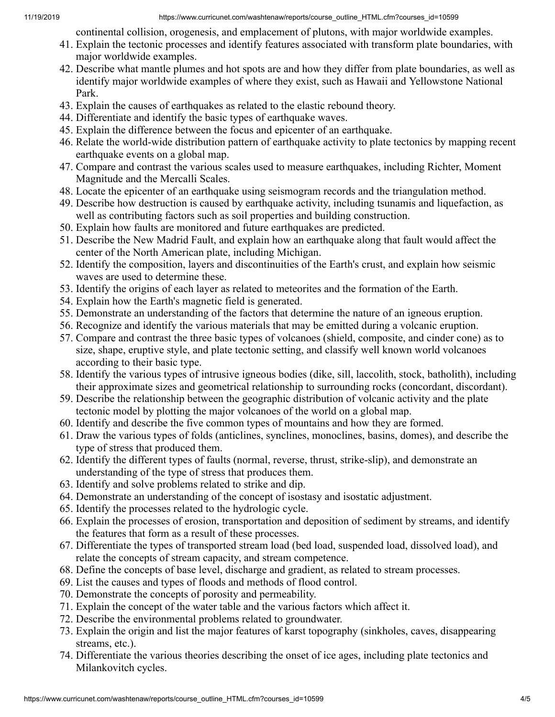continental collision, orogenesis, and emplacement of plutons, with major worldwide examples.

- 41. Explain the tectonic processes and identify features associated with transform plate boundaries, with major worldwide examples.
- 42. Describe what mantle plumes and hot spots are and how they differ from plate boundaries, as well as identify major worldwide examples of where they exist, such as Hawaii and Yellowstone National Park.
- 43. Explain the causes of earthquakes as related to the elastic rebound theory.
- 44. Differentiate and identify the basic types of earthquake waves.
- 45. Explain the difference between the focus and epicenter of an earthquake.
- 46. Relate the world-wide distribution pattern of earthquake activity to plate tectonics by mapping recent earthquake events on a global map.
- 47. Compare and contrast the various scales used to measure earthquakes, including Richter, Moment Magnitude and the Mercalli Scales.
- 48. Locate the epicenter of an earthquake using seismogram records and the triangulation method.
- 49. Describe how destruction is caused by earthquake activity, including tsunamis and liquefaction, as well as contributing factors such as soil properties and building construction.
- 50. Explain how faults are monitored and future earthquakes are predicted.
- 51. Describe the New Madrid Fault, and explain how an earthquake along that fault would affect the center of the North American plate, including Michigan.
- 52. Identify the composition, layers and discontinuities of the Earth's crust, and explain how seismic waves are used to determine these.
- 53. Identify the origins of each layer as related to meteorites and the formation of the Earth.
- 54. Explain how the Earth's magnetic field is generated.
- 55. Demonstrate an understanding of the factors that determine the nature of an igneous eruption.
- 56. Recognize and identify the various materials that may be emitted during a volcanic eruption.
- 57. Compare and contrast the three basic types of volcanoes (shield, composite, and cinder cone) as to size, shape, eruptive style, and plate tectonic setting, and classify well known world volcanoes according to their basic type.
- 58. Identify the various types of intrusive igneous bodies (dike, sill, laccolith, stock, batholith), including their approximate sizes and geometrical relationship to surrounding rocks (concordant, discordant).
- 59. Describe the relationship between the geographic distribution of volcanic activity and the plate tectonic model by plotting the major volcanoes of the world on a global map.
- 60. Identify and describe the five common types of mountains and how they are formed.
- 61. Draw the various types of folds (anticlines, synclines, monoclines, basins, domes), and describe the type of stress that produced them.
- 62. Identify the different types of faults (normal, reverse, thrust, strike-slip), and demonstrate an understanding of the type of stress that produces them.
- 63. Identify and solve problems related to strike and dip.
- 64. Demonstrate an understanding of the concept of isostasy and isostatic adjustment.
- 65. Identify the processes related to the hydrologic cycle.
- 66. Explain the processes of erosion, transportation and deposition of sediment by streams, and identify the features that form as a result of these processes.
- 67. Differentiate the types of transported stream load (bed load, suspended load, dissolved load), and relate the concepts of stream capacity, and stream competence.
- 68. Define the concepts of base level, discharge and gradient, as related to stream processes.
- 69. List the causes and types of floods and methods of flood control.
- 70. Demonstrate the concepts of porosity and permeability.
- 71. Explain the concept of the water table and the various factors which affect it.
- 72. Describe the environmental problems related to groundwater.
- 73. Explain the origin and list the major features of karst topography (sinkholes, caves, disappearing streams, etc.).
- 74. Differentiate the various theories describing the onset of ice ages, including plate tectonics and Milankovitch cycles.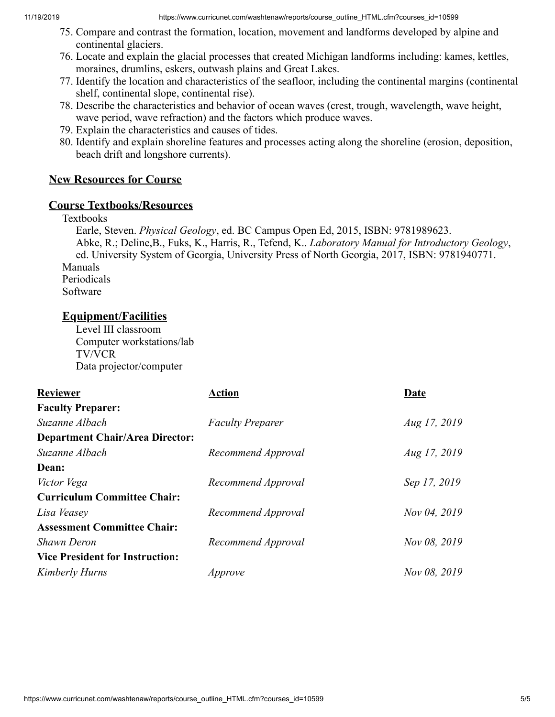- 75. Compare and contrast the formation, location, movement and landforms developed by alpine and continental glaciers.
- 76. Locate and explain the glacial processes that created Michigan landforms including: kames, kettles, moraines, drumlins, eskers, outwash plains and Great Lakes.
- 77. Identify the location and characteristics of the seafloor, including the continental margins (continental shelf, continental slope, continental rise).
- 78. Describe the characteristics and behavior of ocean waves (crest, trough, wavelength, wave height, wave period, wave refraction) and the factors which produce waves.
- 79. Explain the characteristics and causes of tides.
- 80. Identify and explain shoreline features and processes acting along the shoreline (erosion, deposition, beach drift and longshore currents).

### **New Resources for Course**

### **Course Textbooks/Resources**

#### Textbooks

Earle, Steven. *Physical Geology*, ed. BC Campus Open Ed, 2015, ISBN: 9781989623. Abke, R.; Deline,B., Fuks, K., Harris, R., Tefend, K.. *Laboratory Manual for Introductory Geology*, ed. University System of Georgia, University Press of North Georgia, 2017, ISBN: 9781940771. Manuals Periodicals Software

### **Equipment/Facilities**

Level III classroom Computer workstations/lab TV/VCR Data projector/computer

| <b>Reviewer</b>                        | Action                  | Date         |
|----------------------------------------|-------------------------|--------------|
| <b>Faculty Preparer:</b>               |                         |              |
| Suzanne Albach                         | <b>Faculty Preparer</b> | Aug 17, 2019 |
| <b>Department Chair/Area Director:</b> |                         |              |
| Suzanne Albach                         | Recommend Approval      | Aug 17, 2019 |
| Dean:                                  |                         |              |
| Victor Vega                            | Recommend Approval      | Sep 17, 2019 |
| <b>Curriculum Committee Chair:</b>     |                         |              |
| Lisa Veasey                            | Recommend Approval      | Nov 04, 2019 |
| <b>Assessment Committee Chair:</b>     |                         |              |
| <b>Shawn Deron</b>                     | Recommend Approval      | Nov 08, 2019 |
| <b>Vice President for Instruction:</b> |                         |              |
| Kimberly Hurns                         | Approve                 | Nov 08, 2019 |
|                                        |                         |              |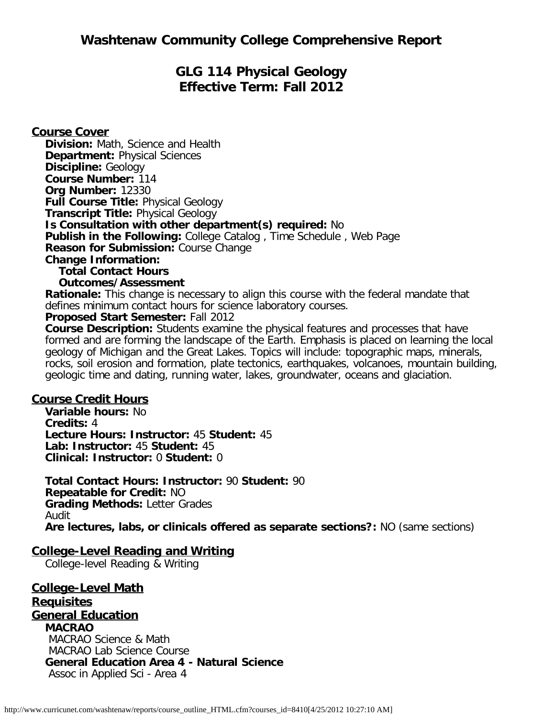# **GLG 114 Physical Geology Effective Term: Fall 2012**

**Course Cover Division:** Math, Science and Health **Department:** Physical Sciences **Discipline:** Geology **Course Number:** 114 **Org Number:** 12330 **Full Course Title:** Physical Geology **Transcript Title:** Physical Geology **Is Consultation with other department(s) required:** No **Publish in the Following:** College Catalog , Time Schedule , Web Page **Reason for Submission:** Course Change **Change Information: Total Contact Hours Outcomes/Assessment**

**Rationale:** This change is necessary to align this course with the federal mandate that defines minimum contact hours for science laboratory courses.

### **Proposed Start Semester:** Fall 2012

**Course Description:** Students examine the physical features and processes that have formed and are forming the landscape of the Earth. Emphasis is placed on learning the local geology of Michigan and the Great Lakes. Topics will include: topographic maps, minerals, rocks, soil erosion and formation, plate tectonics, earthquakes, volcanoes, mountain building, geologic time and dating, running water, lakes, groundwater, oceans and glaciation.

### **Course Credit Hours**

**Variable hours:** No **Credits:** 4 **Lecture Hours: Instructor:** 45 **Student:** 45 **Lab: Instructor:** 45 **Student:** 45 **Clinical: Instructor:** 0 **Student:** 0

**Total Contact Hours: Instructor:** 90 **Student:** 90 **Repeatable for Credit:** NO **Grading Methods:** Letter Grades Audit **Are lectures, labs, or clinicals offered as separate sections?:** NO (same sections)

### **College-Level Reading and Writing**

College-level Reading & Writing

**College-Level Math Requisites General Education MACRAO** MACRAO Science & Math MACRAO Lab Science Course **General Education Area 4 - Natural Science** Assoc in Applied Sci - Area 4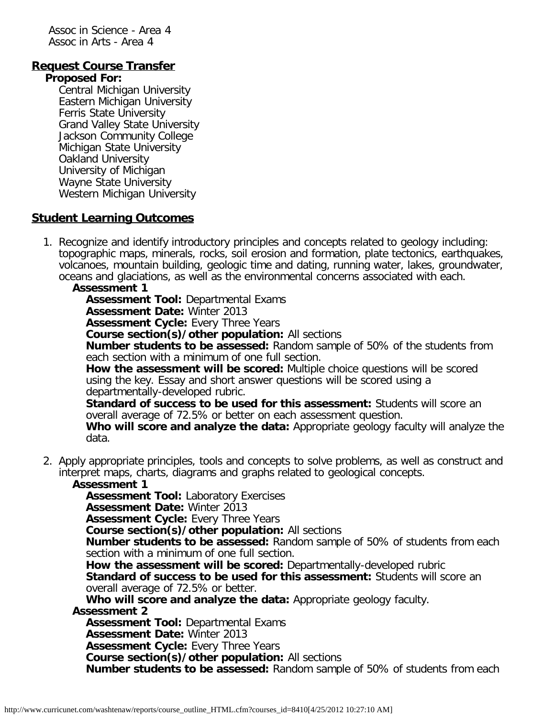Assoc in Science - Area 4 Assoc in Arts - Area 4

### **Request Course Transfer**

#### **Proposed For:**

Central Michigan University Eastern Michigan University Ferris State University Grand Valley State University Jackson Community College Michigan State University Oakland University University of Michigan Wayne State University Western Michigan University

### **Student Learning Outcomes**

1. Recognize and identify introductory principles and concepts related to geology including: topographic maps, minerals, rocks, soil erosion and formation, plate tectonics, earthquakes, volcanoes, mountain building, geologic time and dating, running water, lakes, groundwater, oceans and glaciations, as well as the environmental concerns associated with each.

#### **Assessment 1**

**Assessment Tool:** Departmental Exams

**Assessment Date:** Winter 2013

**Assessment Cycle:** Every Three Years

**Course section(s)/other population:** All sections

**Number students to be assessed:** Random sample of 50% of the students from each section with a minimum of one full section.

**How the assessment will be scored:** Multiple choice questions will be scored using the key. Essay and short answer questions will be scored using a departmentally-developed rubric.

**Standard of success to be used for this assessment:** Students will score an overall average of 72.5% or better on each assessment question.

**Who will score and analyze the data:** Appropriate geology faculty will analyze the data.

2. Apply appropriate principles, tools and concepts to solve problems, as well as construct and interpret maps, charts, diagrams and graphs related to geological concepts.

### **Assessment 1**

**Assessment Tool:** Laboratory Exercises

**Assessment Date:** Winter 2013

**Assessment Cycle: Every Three Years** 

**Course section(s)/other population:** All sections

**Number students to be assessed:** Random sample of 50% of students from each section with a minimum of one full section.

**How the assessment will be scored:** Departmentally-developed rubric

**Standard of success to be used for this assessment:** Students will score an overall average of 72.5% or better.

**Who will score and analyze the data:** Appropriate geology faculty.

**Assessment 2**

**Assessment Tool:** Departmental Exams

**Assessment Date:** Winter 2013

**Assessment Cycle:** Every Three Years

**Course section(s)/other population:** All sections

**Number students to be assessed:** Random sample of 50% of students from each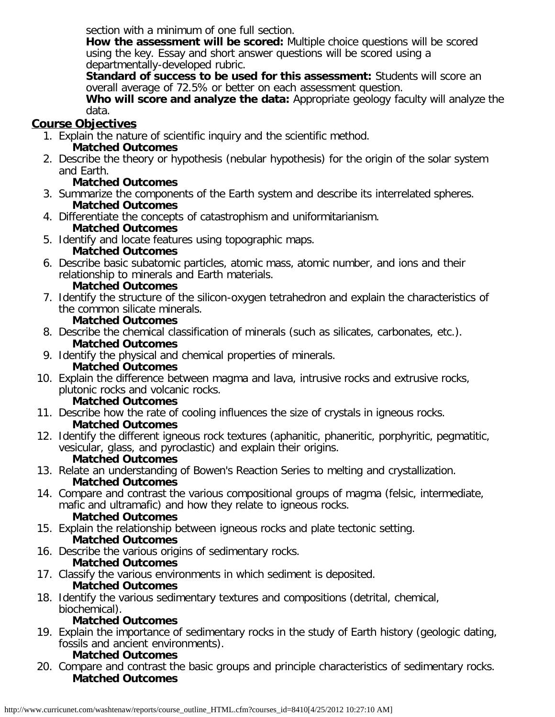section with a minimum of one full section.

**How the assessment will be scored:** Multiple choice questions will be scored using the key. Essay and short answer questions will be scored using a departmentally-developed rubric.

**Standard of success to be used for this assessment:** Students will score an overall average of 72.5% or better on each assessment question.

**Who will score and analyze the data:** Appropriate geology faculty will analyze the data.

# **Course Objectives**

- 1. Explain the nature of scientific inquiry and the scientific method. **Matched Outcomes**
- 2. Describe the theory or hypothesis (nebular hypothesis) for the origin of the solar system and Earth.

## **Matched Outcomes**

- 3. Summarize the components of the Earth system and describe its interrelated spheres. **Matched Outcomes**
- 4. Differentiate the concepts of catastrophism and uniformitarianism. **Matched Outcomes**
- 5. Identify and locate features using topographic maps.

## **Matched Outcomes**

6. Describe basic subatomic particles, atomic mass, atomic number, and ions and their relationship to minerals and Earth materials.

## **Matched Outcomes**

- 7. Identify the structure of the silicon-oxygen tetrahedron and explain the characteristics of the common silicate minerals.
- **Matched Outcomes** 8. Describe the chemical classification of minerals (such as silicates, carbonates, etc.). **Matched Outcomes**
- 9. Identify the physical and chemical properties of minerals.

# **Matched Outcomes**

10. Explain the difference between magma and lava, intrusive rocks and extrusive rocks, plutonic rocks and volcanic rocks.

## **Matched Outcomes**

- 11. Describe how the rate of cooling influences the size of crystals in igneous rocks. **Matched Outcomes**
- 12. Identify the different igneous rock textures (aphanitic, phaneritic, porphyritic, pegmatitic, vesicular, glass, and pyroclastic) and explain their origins.

## **Matched Outcomes**

- 13. Relate an understanding of Bowen's Reaction Series to melting and crystallization. **Matched Outcomes**
- 14. Compare and contrast the various compositional groups of magma (felsic, intermediate, mafic and ultramafic) and how they relate to igneous rocks. **Matched Outcomes**
- 15. Explain the relationship between igneous rocks and plate tectonic setting. **Matched Outcomes**
- 16. Describe the various origins of sedimentary rocks.

## **Matched Outcomes**

- 17. Classify the various environments in which sediment is deposited. **Matched Outcomes**
- 18. Identify the various sedimentary textures and compositions (detrital, chemical, biochemical).

## **Matched Outcomes**

19. Explain the importance of sedimentary rocks in the study of Earth history (geologic dating, fossils and ancient environments).

## **Matched Outcomes**

20. Compare and contrast the basic groups and principle characteristics of sedimentary rocks. **Matched Outcomes**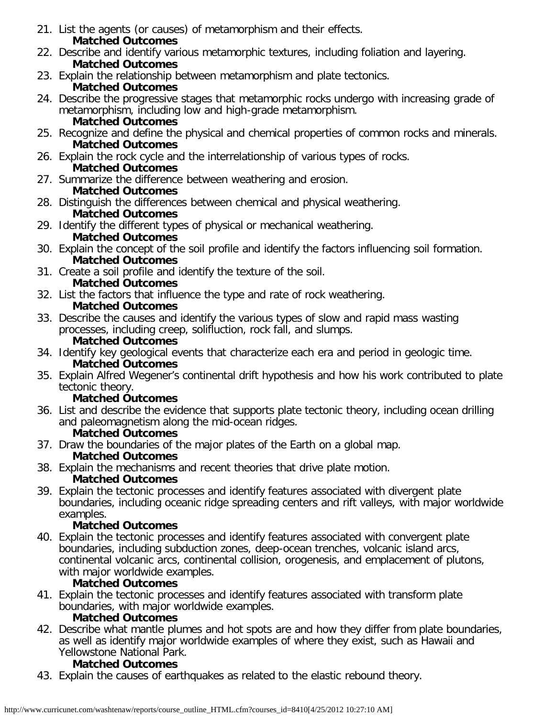- 21. List the agents (or causes) of metamorphism and their effects. **Matched Outcomes**
- 22. Describe and identify various metamorphic textures, including foliation and layering. **Matched Outcomes**
- 23. Explain the relationship between metamorphism and plate tectonics.

### **Matched Outcomes**

- 24. Describe the progressive stages that metamorphic rocks undergo with increasing grade of metamorphism, including low and high-grade metamorphism. **Matched Outcomes**
- 25. Recognize and define the physical and chemical properties of common rocks and minerals. **Matched Outcomes**
- 26. Explain the rock cycle and the interrelationship of various types of rocks. **Matched Outcomes**
- 27. Summarize the difference between weathering and erosion.

## **Matched Outcomes**

- 28. Distinguish the differences between chemical and physical weathering. **Matched Outcomes**
- 29. Identify the different types of physical or mechanical weathering. **Matched Outcomes**
- 30. Explain the concept of the soil profile and identify the factors influencing soil formation. **Matched Outcomes**
- 31. Create a soil profile and identify the texture of the soil.

## **Matched Outcomes**

32. List the factors that influence the type and rate of rock weathering.

## **Matched Outcomes**

33. Describe the causes and identify the various types of slow and rapid mass wasting processes, including creep, solifluction, rock fall, and slumps.

### **Matched Outcomes**

- 34. Identify key geological events that characterize each era and period in geologic time. **Matched Outcomes**
- 35. Explain Alfred Wegener's continental drift hypothesis and how his work contributed to plate tectonic theory.

# **Matched Outcomes**

36. List and describe the evidence that supports plate tectonic theory, including ocean drilling and paleomagnetism along the mid-ocean ridges.

# **Matched Outcomes**

37. Draw the boundaries of the major plates of the Earth on a global map.

# **Matched Outcomes**

- 38. Explain the mechanisms and recent theories that drive plate motion. **Matched Outcomes**
- 39. Explain the tectonic processes and identify features associated with divergent plate boundaries, including oceanic ridge spreading centers and rift valleys, with major worldwide examples.

# **Matched Outcomes**

40. Explain the tectonic processes and identify features associated with convergent plate boundaries, including subduction zones, deep-ocean trenches, volcanic island arcs, continental volcanic arcs, continental collision, orogenesis, and emplacement of plutons, with major worldwide examples.

## **Matched Outcomes**

41. Explain the tectonic processes and identify features associated with transform plate boundaries, with major worldwide examples.

## **Matched Outcomes**

42. Describe what mantle plumes and hot spots are and how they differ from plate boundaries, as well as identify major worldwide examples of where they exist, such as Hawaii and Yellowstone National Park.

# **Matched Outcomes**

43. Explain the causes of earthquakes as related to the elastic rebound theory.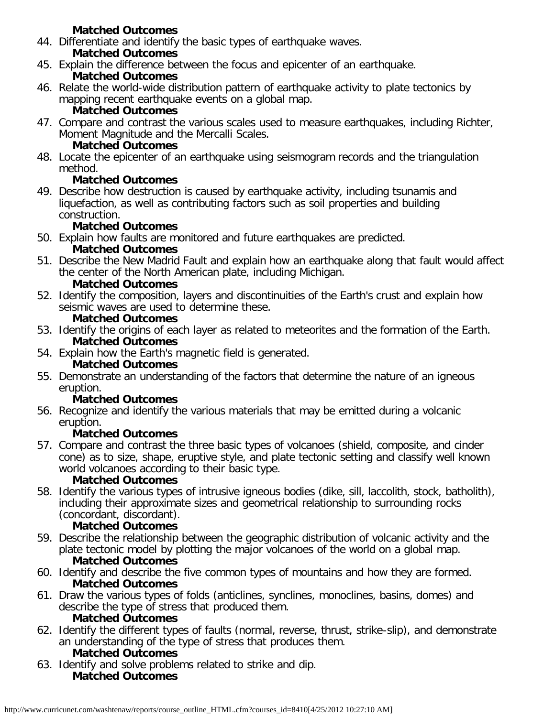### **Matched Outcomes**

44. Differentiate and identify the basic types of earthquake waves.

## **Matched Outcomes**

- 45. Explain the difference between the focus and epicenter of an earthquake. **Matched Outcomes**
- 46. Relate the world-wide distribution pattern of earthquake activity to plate tectonics by mapping recent earthquake events on a global map.

## **Matched Outcomes**

47. Compare and contrast the various scales used to measure earthquakes, including Richter, Moment Magnitude and the Mercalli Scales.

## **Matched Outcomes**

48. Locate the epicenter of an earthquake using seismogram records and the triangulation method.

## **Matched Outcomes**

49. Describe how destruction is caused by earthquake activity, including tsunamis and liquefaction, as well as contributing factors such as soil properties and building construction.

## **Matched Outcomes**

- 50. Explain how faults are monitored and future earthquakes are predicted. **Matched Outcomes**
- 51. Describe the New Madrid Fault and explain how an earthquake along that fault would affect the center of the North American plate, including Michigan.

### **Matched Outcomes**

52. Identify the composition, layers and discontinuities of the Earth's crust and explain how seismic waves are used to determine these.

### **Matched Outcomes**

- 53. Identify the origins of each layer as related to meteorites and the formation of the Earth. **Matched Outcomes**
- 54. Explain how the Earth's magnetic field is generated.

## **Matched Outcomes**

55. Demonstrate an understanding of the factors that determine the nature of an igneous eruption.

## **Matched Outcomes**

56. Recognize and identify the various materials that may be emitted during a volcanic eruption.

## **Matched Outcomes**

57. Compare and contrast the three basic types of volcanoes (shield, composite, and cinder cone) as to size, shape, eruptive style, and plate tectonic setting and classify well known world volcanoes according to their basic type.

## **Matched Outcomes**

58. Identify the various types of intrusive igneous bodies (dike, sill, laccolith, stock, batholith), including their approximate sizes and geometrical relationship to surrounding rocks (concordant, discordant).

## **Matched Outcomes**

- 59. Describe the relationship between the geographic distribution of volcanic activity and the plate tectonic model by plotting the major volcanoes of the world on a global map. **Matched Outcomes**
- 60. Identify and describe the five common types of mountains and how they are formed. **Matched Outcomes**
- 61. Draw the various types of folds (anticlines, synclines, monoclines, basins, domes) and describe the type of stress that produced them. **Matched Outcomes**
- 62. Identify the different types of faults (normal, reverse, thrust, strike-slip), and demonstrate an understanding of the type of stress that produces them.

## **Matched Outcomes**

63. Identify and solve problems related to strike and dip. **Matched Outcomes**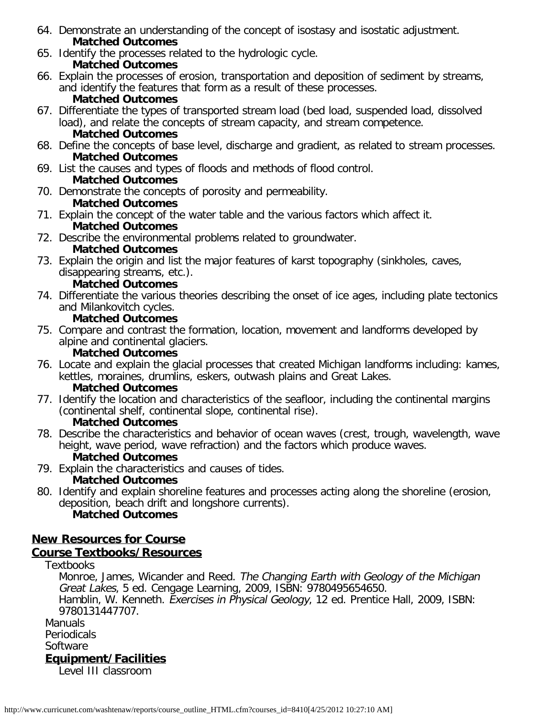- 64. Demonstrate an understanding of the concept of isostasy and isostatic adjustment. **Matched Outcomes**
- 65. Identify the processes related to the hydrologic cycle.

## **Matched Outcomes**

- 66. Explain the processes of erosion, transportation and deposition of sediment by streams, and identify the features that form as a result of these processes. **Matched Outcomes**
- 67. Differentiate the types of transported stream load (bed load, suspended load, dissolved load), and relate the concepts of stream capacity, and stream competence. **Matched Outcomes**
- 68. Define the concepts of base level, discharge and gradient, as related to stream processes. **Matched Outcomes**
- 69. List the causes and types of floods and methods of flood control. **Matched Outcomes**
- 70. Demonstrate the concepts of porosity and permeability. **Matched Outcomes**
- 71. Explain the concept of the water table and the various factors which affect it. **Matched Outcomes**
- 72. Describe the environmental problems related to groundwater.

## **Matched Outcomes**

73. Explain the origin and list the major features of karst topography (sinkholes, caves, disappearing streams, etc.).

## **Matched Outcomes**

74. Differentiate the various theories describing the onset of ice ages, including plate tectonics and Milankovitch cycles.

### **Matched Outcomes**

75. Compare and contrast the formation, location, movement and landforms developed by alpine and continental glaciers.

## **Matched Outcomes**

76. Locate and explain the glacial processes that created Michigan landforms including: kames, kettles, moraines, drumlins, eskers, outwash plains and Great Lakes.

### **Matched Outcomes**

77. Identify the location and characteristics of the seafloor, including the continental margins (continental shelf, continental slope, continental rise).

## **Matched Outcomes**

- 78. Describe the characteristics and behavior of ocean waves (crest, trough, wavelength, wave height, wave period, wave refraction) and the factors which produce waves. **Matched Outcomes**
- 79. Explain the characteristics and causes of tides.

## **Matched Outcomes**

80. Identify and explain shoreline features and processes acting along the shoreline (erosion, deposition, beach drift and longshore currents). **Matched Outcomes**

# **New Resources for Course**

## **Course Textbooks/Resources**

## Textbooks

Monroe, James, Wicander and Reed. The Changing Earth with Geology of the Michigan Great Lakes, 5 ed. Cengage Learning, 2009, ISBN: 9780495654650. Hamblin, W. Kenneth. Exercises in Physical Geology, 12 ed. Prentice Hall, 2009, ISBN: 9780131447707.

Manuals

**Periodicals Software** 

## **Equipment/Facilities**

Level III classroom